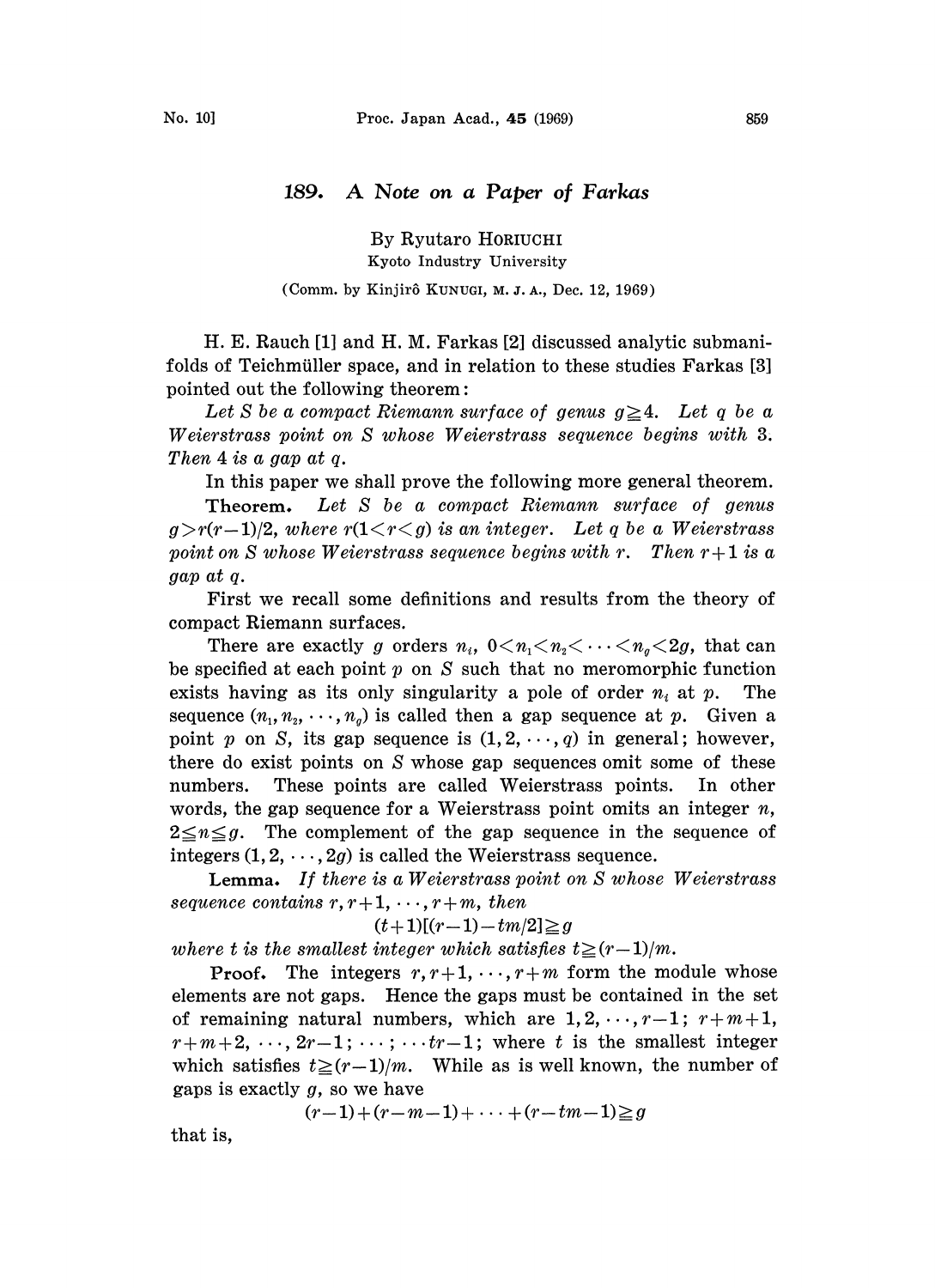# 189. A Note on <sup>a</sup> Paper of Farkas

By Ryutaro HORIUCHI Kyoto. Industry University

# (Comm. by Kinjirô KUNUGI, M. J. A., Dec. 12, 1969).

H. E. Rauch [1] and H. M. Farkas [2] discussed analytic submanifolds of Teichmüller space, and in relation to these studies Farkas [3] pointed out the following theorem:

Let S be a compact Riemann surface of genus  $g\geq 4$ . Let q be a Weierstrass point on S whose Weierstrass sequence begins with 3 Then 4 is a gap at q.

In this paper we shall prove the following more general theorem.

Theorem. Let S be a compact Riemann surface of genus  $g>r(r-1)/2$ , where  $r(1\lt r\lt g)$  is an integer. Let q be a Weierstrass point on S whose Weierstrass sequence begins with r. Then  $r+1$  is a gap at q.

First we recall some definitions and results from the theory of compact Riemann surfaces.

There are exactly g orders  $n_i$ ,  $0 \lt n_1 \lt n_2 \lt \cdots \lt n_q \lt 2g$ , that can be specified at each point  $p$  on  $S$  such that no meromorphic function exists having as its only singularity a pole of order  $n_i$  at p. The sequence  $(n_1, n_2, \dots, n_q)$  is called then a gap sequence at p. Given a point p on S, its gap sequence is  $(1, 2, \dots, q)$  in general; however, there do exist points on S whose gap sequences omit some of these numbers. These points are called Weierstrass points. In other words, the gap sequence for a Weierstrass point omits an integer  $n$ ,  $2 \leq n \leq g$ . The complement of the gap sequence in the sequence of integers  $(1, 2, \dots, 2g)$  is called the Weierstrass sequence.

Lemma. If there is a Weierstrass point on S whose Weierstrass sequence contains  $r, r+1, \dots, r+m$ , then

$$
(t+1)[(r-1)-tm/2]\geqq g
$$

where t is the smallest integer which satisfies  $t\geq (r-1)/m$ .

**Proof.** The integers  $r, r+1, \dots, r+m$  form the module whose elements are not gaps. Hence the gaps must be contained in the set of remaining natural numbers, which are  $1, 2, \dots, r-1; r+m+1$ ,  $r+m+2, \ldots, 2r-1; \ldots; \ldots tr-1;$  where t is the smallest integer which satisfies  $t \geq (r-1)/m$ . While as is well known, the number of gaps is exactly  $g$ , so we have

 $(r-1) + (r-m-1) + \cdots + (r - t m-1) \geq g$ 

that is,